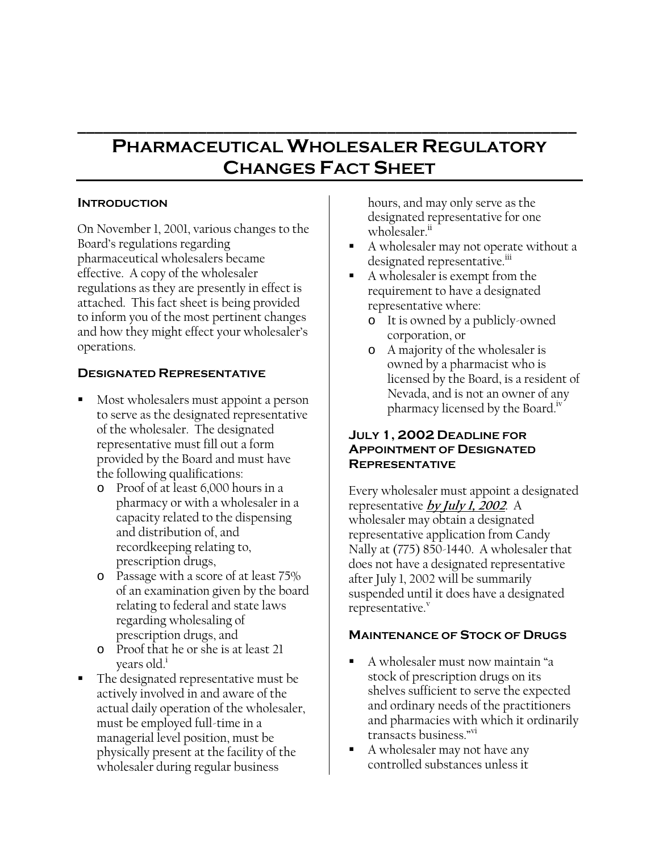# **PHARMACEUTICAL WHOLESALER REGULATORY CHANGES FACT SHEET**

**\_\_\_\_\_\_\_\_\_\_\_\_\_\_\_\_\_\_\_\_\_\_\_\_\_\_\_\_\_\_\_\_\_\_\_\_\_\_\_\_\_\_\_\_\_\_\_\_\_\_\_\_\_\_\_\_\_\_** 

## **INTRODUCTION**

On November 1, 2001, various changes to the Board's regulations regarding pharmaceutical wholesalers became effective. A copy of the wholesaler regulations as they are presently in effect is attached. This fact sheet is being provided to inform you of the most pertinent changes and how they might effect your wholesaler's operations.

# **DESIGNATED REPRESENTATIVE**

- Most wholesalers must appoint a person to serve as the designated representative of the wholesaler. The designated representative must fill out a form provided by the Board and must have the following qualifications:
	- o Proof of at least 6,000 hours in a pharmacy or with a wholesaler in a capacity related to the dispensing and distribution of, and recordkeeping relating to, prescription drugs,
	- o Passage with a score of at least 75% of an examination given by the board relating to federal and state laws regarding wholesaling of prescription drugs, and
	- o Proof that he or she is at least 21 years old.<sup>1</sup>
- The designated representative must be actively involved in and aware of the actual daily operation of the wholesaler, must be employed full-time in a managerial level position, must be physically present at the facility of the wholesaler during regular business

hours, and may only serve as the designated representative for one wholesaler.<sup>ii</sup>

- A wholesaler may not operate without a designated representative.<sup>III</sup>
- A wholesaler is exempt from the requirement to have a designated representative where:
	- o It is owned by a publicly-owned corporation, or
	- o A majority of the wholesaler is owned by a pharmacist who is licensed by the Board, is a resident of Nevada, and is not an owner of any pharmacy licensed by the Board.<sup>1V</sup>

## **JULY 1, 2002 DEADLINE FOR APPOINTMENT OF DESIGNATED REPRESENTATIVE**

Every wholesaler must appoint a designated representative **by July 1, 2002**. A wholesaler may obtain a designated representative application from Candy Nally at (775) 850-1440. A wholesaler that does not have a designated representative after July 1, 2002 will be summarily suspended until it does have a designated representative.

# **MAINTENANCE OF STOCK OF DRUGS**

- A wholesaler must now maintain "a stock of prescription drugs on its shelves sufficient to serve the expected and ordinary needs of the practitioners and pharmacies with which it ordinarily transacts business."<sup>vi</sup>
- A wholesaler may not have any controlled substances unless it